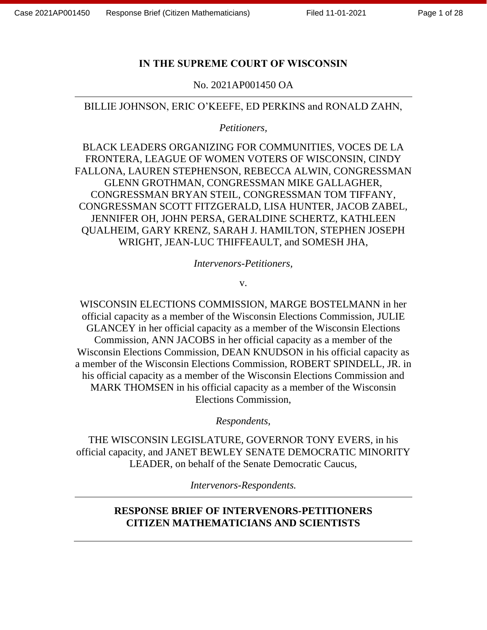### **IN THE SUPREME COURT OF WISCONSIN**

### No. 2021AP001450 OA

### BILLIE JOHNSON, ERIC O'KEEFE, ED PERKINS and RONALD ZAHN,

*Petitioners,* 

BLACK LEADERS ORGANIZING FOR COMMUNITIES, VOCES DE LA FRONTERA, LEAGUE OF WOMEN VOTERS OF WISCONSIN, CINDY FALLONA, LAUREN STEPHENSON, REBECCA ALWIN, CONGRESSMAN GLENN GROTHMAN, CONGRESSMAN MIKE GALLAGHER, CONGRESSMAN BRYAN STEIL, CONGRESSMAN TOM TIFFANY, CONGRESSMAN SCOTT FITZGERALD, LISA HUNTER, JACOB ZABEL, JENNIFER OH, JOHN PERSA, GERALDINE SCHERTZ, KATHLEEN QUALHEIM, GARY KRENZ, SARAH J. HAMILTON, STEPHEN JOSEPH WRIGHT, JEAN-LUC THIFFEAULT, and SOMESH JHA,

*Intervenors-Petitioners,*

v.

WISCONSIN ELECTIONS COMMISSION, MARGE BOSTELMANN in her official capacity as a member of the Wisconsin Elections Commission, JULIE GLANCEY in her official capacity as a member of the Wisconsin Elections Commission, ANN JACOBS in her official capacity as a member of the Wisconsin Elections Commission, DEAN KNUDSON in his official capacity as a member of the Wisconsin Elections Commission, ROBERT SPINDELL, JR. in his official capacity as a member of the Wisconsin Elections Commission and MARK THOMSEN in his official capacity as a member of the Wisconsin Elections Commission,

*Respondents,*

THE WISCONSIN LEGISLATURE, GOVERNOR TONY EVERS, in his official capacity, and JANET BEWLEY SENATE DEMOCRATIC MINORITY LEADER, on behalf of the Senate Democratic Caucus,

*Intervenors-Respondents.*

## **RESPONSE BRIEF OF INTERVENORS-PETITIONERS CITIZEN MATHEMATICIANS AND SCIENTISTS**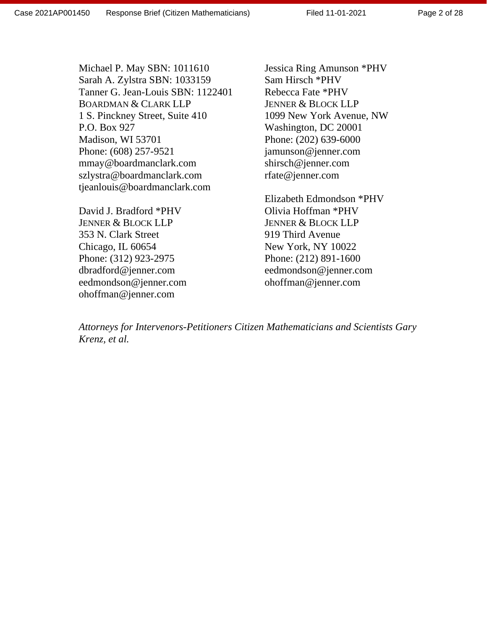Jessica Ring Amunson \*PHV Sam Hirsch \*PHV Rebecca Fate \*PHV JENNER & BLOCK LLP 1099 New York Avenue, NW Washington, DC 20001 Phone: (202) 639-6000 [jamunson@jenner.com](mailto:jamunson@jenner.com) [shirsch@jenner.com](mailto:shirsch@jenner.com) [rfate@jenner.com](mailto:rfate@jenner.com)

Elizabeth Edmondson \*PHV Olivia Hoffman \*PHV JENNER & BLOCK LLP 919 Third Avenue New York, NY 10022 Phone: (212) 891-1600 [eedmondson@jenner.com](mailto:eedmondson@jenner.com) [ohoffman@jenner.com](mailto:ohoffman@jenner.com)

*Attorneys for Intervenors-Petitioners Citizen Mathematicians and Scientists Gary Krenz, et al.* 

Michael P. May SBN: 1011610 Sarah A. Zylstra SBN: 1033159 Tanner G. Jean-Louis SBN: 1122401 BOARDMAN & CLARK LLP 1 S. Pinckney Street, Suite 410 P.O. Box 927 Madison, WI 53701 Phone: (608) 257-9521 mmay@boardmanclark.com szlystra@boardmanclark.com tjeanlouis@boardmanclark.com

David J. Bradford \*PHV JENNER & BLOCK LLP 353 N. Clark Street Chicago, IL 60654 Phone: (312) 923-2975 [dbradford@jenner.com](mailto:dbradford@jenner.com) [eedmondson@jenner.com](mailto:eedmondson@jenner.com) [ohoffman@jenner.com](mailto:ohoffman@jenner.com)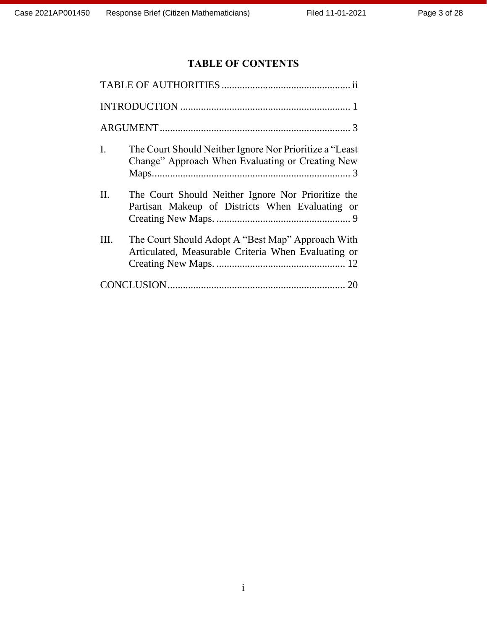# **TABLE OF CONTENTS**

| I. | The Court Should Neither Ignore Nor Prioritize a "Least"<br>Change" Approach When Evaluating or Creating New |  |  |  |  |
|----|--------------------------------------------------------------------------------------------------------------|--|--|--|--|
| П. | The Court Should Neither Ignore Nor Prioritize the<br>Partisan Makeup of Districts When Evaluating or        |  |  |  |  |
| Ш. | The Court Should Adopt A "Best Map" Approach With<br>Articulated, Measurable Criteria When Evaluating or     |  |  |  |  |
|    |                                                                                                              |  |  |  |  |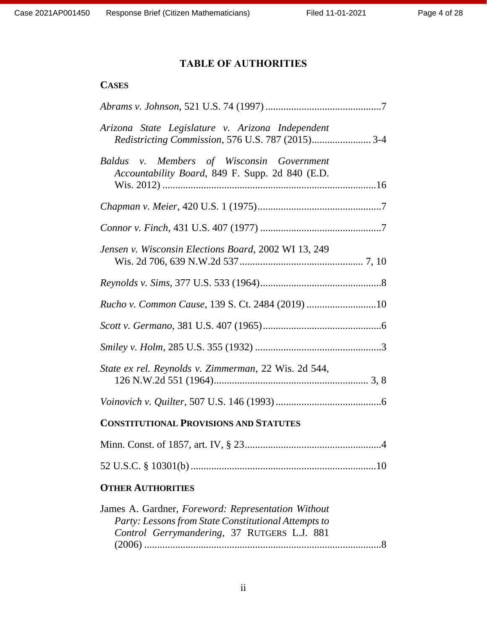# **TABLE OF AUTHORITIES**

### <span id="page-3-0"></span>**CASES**

| Arizona State Legislature v. Arizona Independent<br>Redistricting Commission, 576 U.S. 787 (2015) 3-4                                                     |
|-----------------------------------------------------------------------------------------------------------------------------------------------------------|
| Baldus v. Members of Wisconsin Government<br>Accountability Board, 849 F. Supp. 2d 840 (E.D.                                                              |
|                                                                                                                                                           |
|                                                                                                                                                           |
| Jensen v. Wisconsin Elections Board, 2002 WI 13, 249                                                                                                      |
|                                                                                                                                                           |
| Rucho v. Common Cause, 139 S. Ct. 2484 (2019) 10                                                                                                          |
|                                                                                                                                                           |
|                                                                                                                                                           |
| State ex rel. Reynolds v. Zimmerman, 22 Wis. 2d 544,                                                                                                      |
|                                                                                                                                                           |
| <b>CONSTITUTIONAL PROVISIONS AND STATUTES</b>                                                                                                             |
|                                                                                                                                                           |
|                                                                                                                                                           |
| <b>OTHER AUTHORITIES</b>                                                                                                                                  |
| James A. Gardner, Foreword: Representation Without<br>Party: Lessons from State Constitutional Attempts to<br>Control Gerrymandering, 37 RUTGERS L.J. 881 |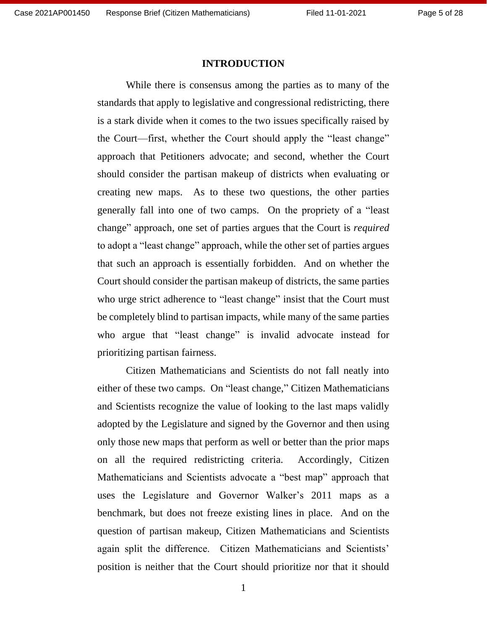#### **INTRODUCTION**

<span id="page-4-0"></span>While there is consensus among the parties as to many of the standards that apply to legislative and congressional redistricting, there is a stark divide when it comes to the two issues specifically raised by the Court—first, whether the Court should apply the "least change" approach that Petitioners advocate; and second, whether the Court should consider the partisan makeup of districts when evaluating or creating new maps. As to these two questions, the other parties generally fall into one of two camps. On the propriety of a "least change" approach, one set of parties argues that the Court is *required* to adopt a "least change" approach, while the other set of parties argues that such an approach is essentially forbidden. And on whether the Court should consider the partisan makeup of districts, the same parties who urge strict adherence to "least change" insist that the Court must be completely blind to partisan impacts, while many of the same parties who argue that "least change" is invalid advocate instead for prioritizing partisan fairness.

Citizen Mathematicians and Scientists do not fall neatly into either of these two camps. On "least change," Citizen Mathematicians and Scientists recognize the value of looking to the last maps validly adopted by the Legislature and signed by the Governor and then using only those new maps that perform as well or better than the prior maps on all the required redistricting criteria. Accordingly, Citizen Mathematicians and Scientists advocate a "best map" approach that uses the Legislature and Governor Walker's 2011 maps as a benchmark, but does not freeze existing lines in place. And on the question of partisan makeup, Citizen Mathematicians and Scientists again split the difference. Citizen Mathematicians and Scientists' position is neither that the Court should prioritize nor that it should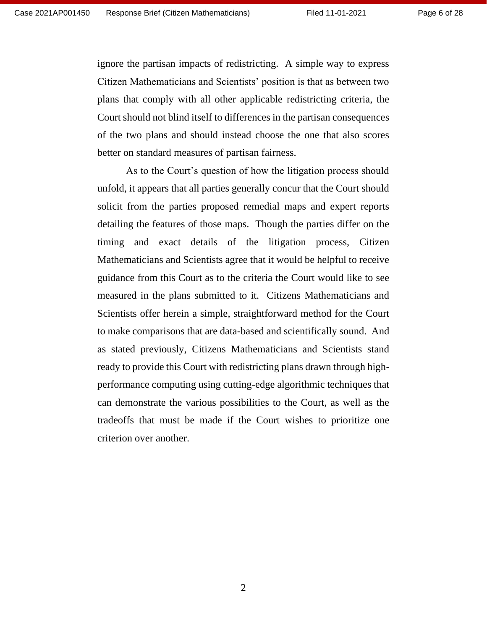ignore the partisan impacts of redistricting. A simple way to express Citizen Mathematicians and Scientists' position is that as between two plans that comply with all other applicable redistricting criteria, the Court should not blind itself to differences in the partisan consequences of the two plans and should instead choose the one that also scores better on standard measures of partisan fairness.

As to the Court's question of how the litigation process should unfold, it appears that all parties generally concur that the Court should solicit from the parties proposed remedial maps and expert reports detailing the features of those maps. Though the parties differ on the timing and exact details of the litigation process, Citizen Mathematicians and Scientists agree that it would be helpful to receive guidance from this Court as to the criteria the Court would like to see measured in the plans submitted to it. Citizens Mathematicians and Scientists offer herein a simple, straightforward method for the Court to make comparisons that are data-based and scientifically sound. And as stated previously, Citizens Mathematicians and Scientists stand ready to provide this Court with redistricting plans drawn through highperformance computing using cutting-edge algorithmic techniques that can demonstrate the various possibilities to the Court, as well as the tradeoffs that must be made if the Court wishes to prioritize one criterion over another.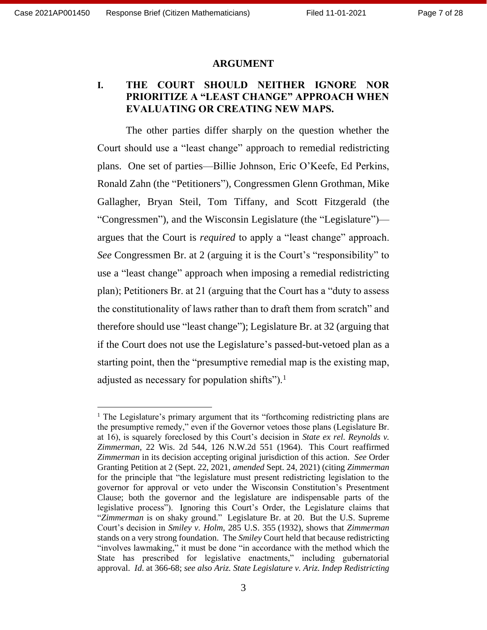#### **ARGUMENT**

### <span id="page-6-1"></span><span id="page-6-0"></span>**I. THE COURT SHOULD NEITHER IGNORE NOR PRIORITIZE A "LEAST CHANGE" APPROACH WHEN EVALUATING OR CREATING NEW MAPS.**

The other parties differ sharply on the question whether the Court should use a "least change" approach to remedial redistricting plans. One set of parties—Billie Johnson, Eric O'Keefe, Ed Perkins, Ronald Zahn (the "Petitioners"), Congressmen Glenn Grothman, Mike Gallagher, Bryan Steil, Tom Tiffany, and Scott Fitzgerald (the "Congressmen"), and the Wisconsin Legislature (the "Legislature") argues that the Court is *required* to apply a "least change" approach. *See* Congressmen Br. at 2 (arguing it is the Court's "responsibility" to use a "least change" approach when imposing a remedial redistricting plan); Petitioners Br. at 21 (arguing that the Court has a "duty to assess the constitutionality of laws rather than to draft them from scratch" and therefore should use "least change"); Legislature Br. at 32 (arguing that if the Court does not use the Legislature's passed-but-vetoed plan as a starting point, then the "presumptive remedial map is the existing map, adjusted as necessary for population shifts").<sup>1</sup>

<sup>&</sup>lt;sup>1</sup> The Legislature's primary argument that its "forthcoming redistricting plans are the presumptive remedy," even if the Governor vetoes those plans (Legislature Br. at 16), is squarely foreclosed by this Court's decision in *State ex rel. Reynolds v. Zimmerman*, 22 Wis. 2d 544, 126 N.W.2d 551 (1964). This Court reaffirmed *Zimmerman* in its decision accepting original jurisdiction of this action. *See* Order Granting Petition at 2 (Sept. 22, 2021, *amended* Sept. 24, 2021) (citing *Zimmerman* for the principle that "the legislature must present redistricting legislation to the governor for approval or veto under the Wisconsin Constitution's Presentment Clause; both the governor and the legislature are indispensable parts of the legislative process"). Ignoring this Court's Order, the Legislature claims that "*Zimmerman* is on shaky ground." Legislature Br. at 20. But the U.S. Supreme Court's decision in *Smiley v. Holm*, 285 U.S. 355 (1932), shows that *Zimmerman* stands on a very strong foundation. The *Smiley* Court held that because redistricting "involves lawmaking," it must be done "in accordance with the method which the State has prescribed for legislative enactments," including gubernatorial approval. *Id*. at 366-68; *see also Ariz. State Legislature v. Ariz. Indep Redistricting*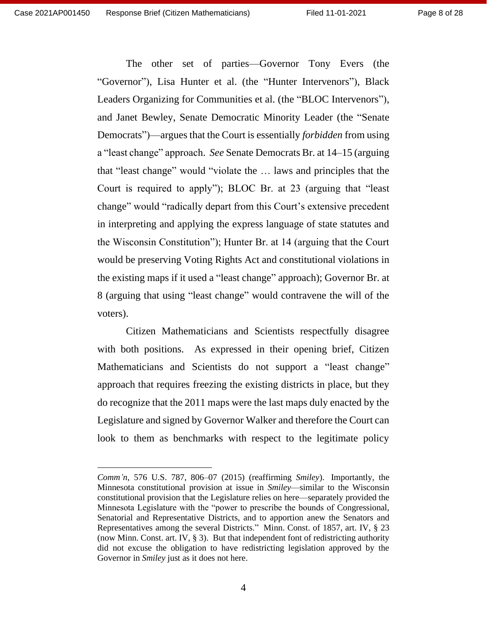The other set of parties—Governor Tony Evers (the "Governor"), Lisa Hunter et al. (the "Hunter Intervenors"), Black Leaders Organizing for Communities et al. (the "BLOC Intervenors"), and Janet Bewley, Senate Democratic Minority Leader (the "Senate Democrats")—argues that the Court is essentially *forbidden* from using a "least change" approach. *See* Senate Democrats Br. at 14–15 (arguing that "least change" would "violate the … laws and principles that the Court is required to apply"); BLOC Br. at 23 (arguing that "least change" would "radically depart from this Court's extensive precedent in interpreting and applying the express language of state statutes and the Wisconsin Constitution"); Hunter Br. at 14 (arguing that the Court would be preserving Voting Rights Act and constitutional violations in the existing maps if it used a "least change" approach); Governor Br. at 8 (arguing that using "least change" would contravene the will of the voters).

Citizen Mathematicians and Scientists respectfully disagree with both positions. As expressed in their opening brief, Citizen Mathematicians and Scientists do not support a "least change" approach that requires freezing the existing districts in place, but they do recognize that the 2011 maps were the last maps duly enacted by the Legislature and signed by Governor Walker and therefore the Court can look to them as benchmarks with respect to the legitimate policy

*Comm'n*, 576 U.S. 787, 806–07 (2015) (reaffirming *Smiley*). Importantly, the Minnesota constitutional provision at issue in *Smiley*—similar to the Wisconsin constitutional provision that the Legislature relies on here—separately provided the Minnesota Legislature with the "power to prescribe the bounds of Congressional, Senatorial and Representative Districts, and to apportion anew the Senators and Representatives among the several Districts." Minn. Const. of 1857, art. IV, § 23 (now Minn. Const. art. IV, § 3). But that independent font of redistricting authority did not excuse the obligation to have redistricting legislation approved by the Governor in *Smiley* just as it does not here.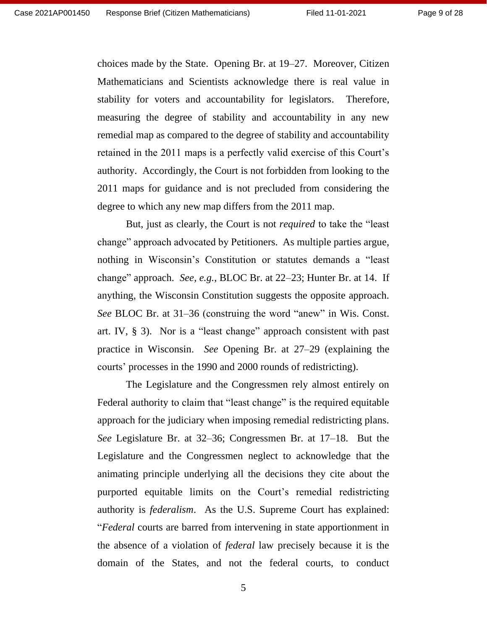choices made by the State. Opening Br. at 19–27. Moreover, Citizen Mathematicians and Scientists acknowledge there is real value in stability for voters and accountability for legislators. Therefore, measuring the degree of stability and accountability in any new remedial map as compared to the degree of stability and accountability retained in the 2011 maps is a perfectly valid exercise of this Court's authority. Accordingly, the Court is not forbidden from looking to the 2011 maps for guidance and is not precluded from considering the degree to which any new map differs from the 2011 map.

But, just as clearly, the Court is not *required* to take the "least change" approach advocated by Petitioners. As multiple parties argue, nothing in Wisconsin's Constitution or statutes demands a "least change" approach. *See, e.g.*, BLOC Br. at 22–23; Hunter Br. at 14. If anything, the Wisconsin Constitution suggests the opposite approach. *See* BLOC Br. at 31–36 (construing the word "anew" in Wis. Const. art. IV, § 3). Nor is a "least change" approach consistent with past practice in Wisconsin. *See* Opening Br. at 27–29 (explaining the courts' processes in the 1990 and 2000 rounds of redistricting).

The Legislature and the Congressmen rely almost entirely on Federal authority to claim that "least change" is the required equitable approach for the judiciary when imposing remedial redistricting plans. *See* Legislature Br. at 32–36; Congressmen Br. at 17–18. But the Legislature and the Congressmen neglect to acknowledge that the animating principle underlying all the decisions they cite about the purported equitable limits on the Court's remedial redistricting authority is *federalism*. As the U.S. Supreme Court has explained: "*Federal* courts are barred from intervening in state apportionment in the absence of a violation of *federal* law precisely because it is the domain of the States, and not the federal courts, to conduct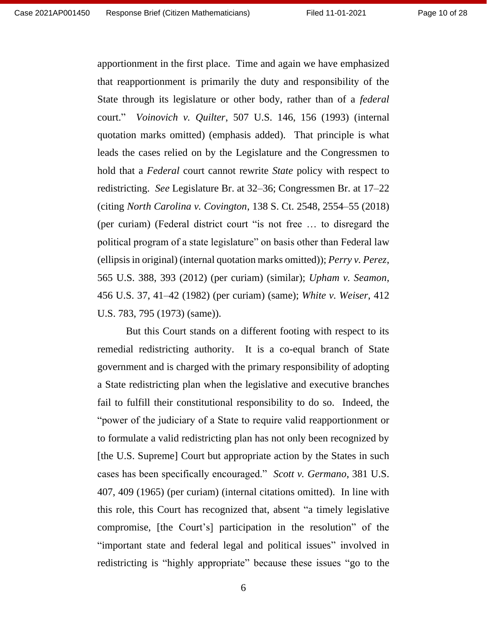apportionment in the first place. Time and again we have emphasized that reapportionment is primarily the duty and responsibility of the State through its legislature or other body, rather than of a *federal*  court." *Voinovich v. Quilter*, 507 U.S. 146, 156 (1993) (internal quotation marks omitted) (emphasis added). That principle is what leads the cases relied on by the Legislature and the Congressmen to hold that a *Federal* court cannot rewrite *State* policy with respect to redistricting. *See* Legislature Br. at 32–36; Congressmen Br. at 17–22 (citing *North Carolina v. Covington*, 138 S. Ct. 2548, 2554–55 (2018) (per curiam) (Federal district court "is not free … to disregard the political program of a state legislature" on basis other than Federal law (ellipsis in original) (internal quotation marks omitted)); *Perry v. Perez*, 565 U.S. 388, 393 (2012) (per curiam) (similar); *Upham v. Seamon*, 456 U.S. 37, 41–42 (1982) (per curiam) (same); *White v. Weiser*, 412 U.S. 783, 795 (1973) (same)).

But this Court stands on a different footing with respect to its remedial redistricting authority. It is a co-equal branch of State government and is charged with the primary responsibility of adopting a State redistricting plan when the legislative and executive branches fail to fulfill their constitutional responsibility to do so. Indeed, the "power of the judiciary of a State to require valid reapportionment or to formulate a valid redistricting plan has not only been recognized by [the U.S. Supreme] Court but appropriate action by the States in such cases has been specifically encouraged." *Scott v. Germano*, 381 U.S. 407, 409 (1965) (per curiam) (internal citations omitted). In line with this role, this Court has recognized that, absent "a timely legislative compromise, [the Court's] participation in the resolution" of the "important state and federal legal and political issues" involved in redistricting is "highly appropriate" because these issues "go to the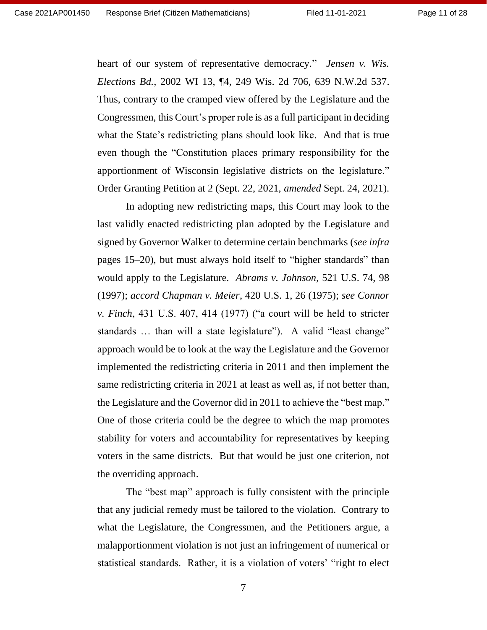Page 11 of 28

heart of our system of representative democracy." *Jensen v. Wis. Elections Bd.*, 2002 WI 13, ¶4, 249 Wis. 2d 706, 639 N.W.2d 537. Thus, contrary to the cramped view offered by the Legislature and the Congressmen, this Court's proper role is as a full participant in deciding what the State's redistricting plans should look like. And that is true even though the "Constitution places primary responsibility for the apportionment of Wisconsin legislative districts on the legislature." Order Granting Petition at 2 (Sept. 22, 2021, *amended* Sept. 24, 2021).

In adopting new redistricting maps, this Court may look to the last validly enacted redistricting plan adopted by the Legislature and signed by Governor Walker to determine certain benchmarks (*see infra* pages 15–20), but must always hold itself to "higher standards" than would apply to the Legislature. *Abrams v. Johnson*, 521 U.S. 74, 98 (1997); *accord Chapman v. Meier*, 420 U.S. 1, 26 (1975); *see Connor v. Finch*, 431 U.S. 407, 414 (1977) ("a court will be held to stricter standards … than will a state legislature"). A valid "least change" approach would be to look at the way the Legislature and the Governor implemented the redistricting criteria in 2011 and then implement the same redistricting criteria in 2021 at least as well as, if not better than, the Legislature and the Governor did in 2011 to achieve the "best map." One of those criteria could be the degree to which the map promotes stability for voters and accountability for representatives by keeping voters in the same districts. But that would be just one criterion, not the overriding approach.

The "best map" approach is fully consistent with the principle that any judicial remedy must be tailored to the violation. Contrary to what the Legislature, the Congressmen, and the Petitioners argue, a malapportionment violation is not just an infringement of numerical or statistical standards. Rather, it is a violation of voters' "right to elect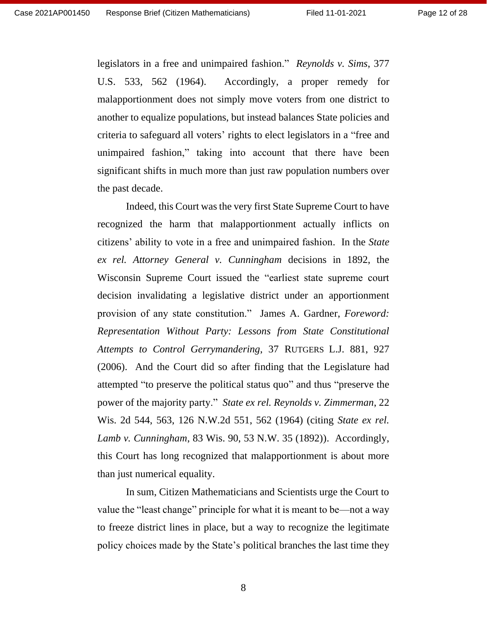Page 12 of 28

legislators in a free and unimpaired fashion." *Reynolds v. Sims*, 377 U.S. 533, 562 (1964). Accordingly, a proper remedy for malapportionment does not simply move voters from one district to another to equalize populations, but instead balances State policies and criteria to safeguard all voters' rights to elect legislators in a "free and unimpaired fashion," taking into account that there have been significant shifts in much more than just raw population numbers over the past decade.

Indeed, this Court was the very first State Supreme Court to have recognized the harm that malapportionment actually inflicts on citizens' ability to vote in a free and unimpaired fashion. In the *State ex rel. Attorney General v. Cunningham* decisions in 1892, the Wisconsin Supreme Court issued the "earliest state supreme court decision invalidating a legislative district under an apportionment provision of any state constitution." James A. Gardner, *Foreword: Representation Without Party: Lessons from State Constitutional Attempts to Control Gerrymandering*, 37 RUTGERS L.J. 881, 927 (2006). And the Court did so after finding that the Legislature had attempted "to preserve the political status quo" and thus "preserve the power of the majority party." *State ex rel. Reynolds v. Zimmerman*, 22 Wis. 2d 544, 563, 126 N.W.2d 551, 562 (1964) (citing *State ex rel. Lamb v. Cunningham*, 83 Wis. 90, 53 N.W. 35 (1892)). Accordingly, this Court has long recognized that malapportionment is about more than just numerical equality.

In sum, Citizen Mathematicians and Scientists urge the Court to value the "least change" principle for what it is meant to be—not a way to freeze district lines in place, but a way to recognize the legitimate policy choices made by the State's political branches the last time they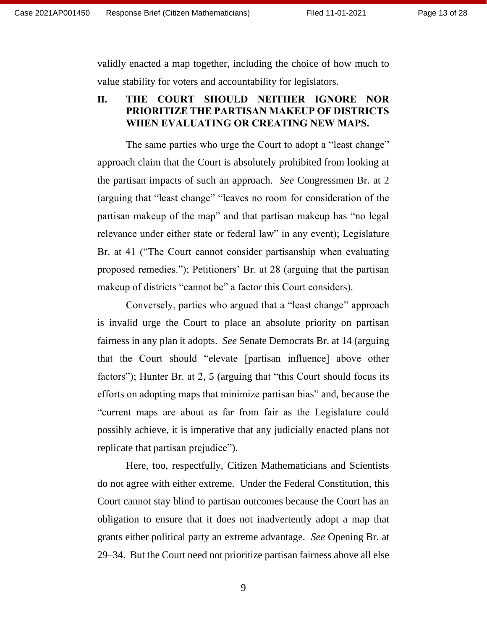validly enacted a map together, including the choice of how much to value stability for voters and accountability for legislators.

### <span id="page-12-0"></span>**II. THE COURT SHOULD NEITHER IGNORE NOR PRIORITIZE THE PARTISAN MAKEUP OF DISTRICTS WHEN EVALUATING OR CREATING NEW MAPS.**

The same parties who urge the Court to adopt a "least change" approach claim that the Court is absolutely prohibited from looking at the partisan impacts of such an approach. *See* Congressmen Br. at 2 (arguing that "least change" "leaves no room for consideration of the partisan makeup of the map" and that partisan makeup has "no legal relevance under either state or federal law" in any event); Legislature Br. at 41 ("The Court cannot consider partisanship when evaluating proposed remedies."); Petitioners' Br. at 28 (arguing that the partisan makeup of districts "cannot be" a factor this Court considers).

Conversely, parties who argued that a "least change" approach is invalid urge the Court to place an absolute priority on partisan fairness in any plan it adopts. *See* Senate Democrats Br. at 14 (arguing that the Court should "elevate [partisan influence] above other factors"); Hunter Br. at 2, 5 (arguing that "this Court should focus its efforts on adopting maps that minimize partisan bias" and, because the "current maps are about as far from fair as the Legislature could possibly achieve, it is imperative that any judicially enacted plans not replicate that partisan prejudice").

Here, too, respectfully, Citizen Mathematicians and Scientists do not agree with either extreme. Under the Federal Constitution, this Court cannot stay blind to partisan outcomes because the Court has an obligation to ensure that it does not inadvertently adopt a map that grants either political party an extreme advantage. *See* Opening Br. at 29–34. But the Court need not prioritize partisan fairness above all else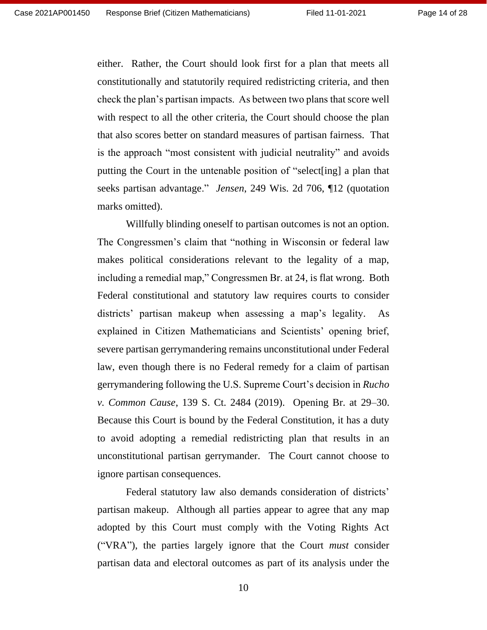either. Rather, the Court should look first for a plan that meets all constitutionally and statutorily required redistricting criteria, and then check the plan's partisan impacts. As between two plans that score well with respect to all the other criteria, the Court should choose the plan that also scores better on standard measures of partisan fairness. That is the approach "most consistent with judicial neutrality" and avoids putting the Court in the untenable position of "select[ing] a plan that seeks partisan advantage." *Jensen*, 249 Wis. 2d 706, ¶12 (quotation marks omitted).

Willfully blinding oneself to partisan outcomes is not an option. The Congressmen's claim that "nothing in Wisconsin or federal law makes political considerations relevant to the legality of a map, including a remedial map," Congressmen Br. at 24, is flat wrong. Both Federal constitutional and statutory law requires courts to consider districts' partisan makeup when assessing a map's legality. As explained in Citizen Mathematicians and Scientists' opening brief, severe partisan gerrymandering remains unconstitutional under Federal law, even though there is no Federal remedy for a claim of partisan gerrymandering following the U.S. Supreme Court's decision in *Rucho v. Common Cause*, 139 S. Ct. 2484 (2019). Opening Br. at 29–30. Because this Court is bound by the Federal Constitution, it has a duty to avoid adopting a remedial redistricting plan that results in an unconstitutional partisan gerrymander. The Court cannot choose to ignore partisan consequences.

Federal statutory law also demands consideration of districts' partisan makeup. Although all parties appear to agree that any map adopted by this Court must comply with the Voting Rights Act ("VRA"), the parties largely ignore that the Court *must* consider partisan data and electoral outcomes as part of its analysis under the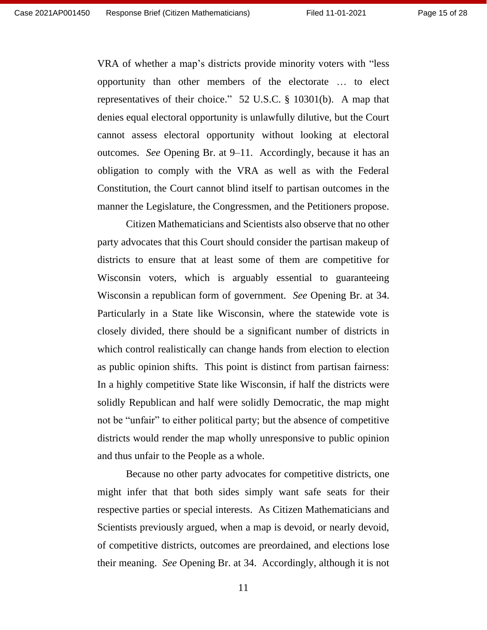VRA of whether a map's districts provide minority voters with "less opportunity than other members of the electorate … to elect representatives of their choice." 52 U.S.C. § 10301(b). A map that denies equal electoral opportunity is unlawfully dilutive, but the Court cannot assess electoral opportunity without looking at electoral outcomes. *See* Opening Br. at 9–11. Accordingly, because it has an obligation to comply with the VRA as well as with the Federal Constitution, the Court cannot blind itself to partisan outcomes in the manner the Legislature, the Congressmen, and the Petitioners propose.

Citizen Mathematicians and Scientists also observe that no other party advocates that this Court should consider the partisan makeup of districts to ensure that at least some of them are competitive for Wisconsin voters, which is arguably essential to guaranteeing Wisconsin a republican form of government. *See* Opening Br. at 34. Particularly in a State like Wisconsin, where the statewide vote is closely divided, there should be a significant number of districts in which control realistically can change hands from election to election as public opinion shifts. This point is distinct from partisan fairness: In a highly competitive State like Wisconsin, if half the districts were solidly Republican and half were solidly Democratic, the map might not be "unfair" to either political party; but the absence of competitive districts would render the map wholly unresponsive to public opinion and thus unfair to the People as a whole.

Because no other party advocates for competitive districts, one might infer that that both sides simply want safe seats for their respective parties or special interests. As Citizen Mathematicians and Scientists previously argued, when a map is devoid, or nearly devoid, of competitive districts, outcomes are preordained, and elections lose their meaning. *See* Opening Br. at 34. Accordingly, although it is not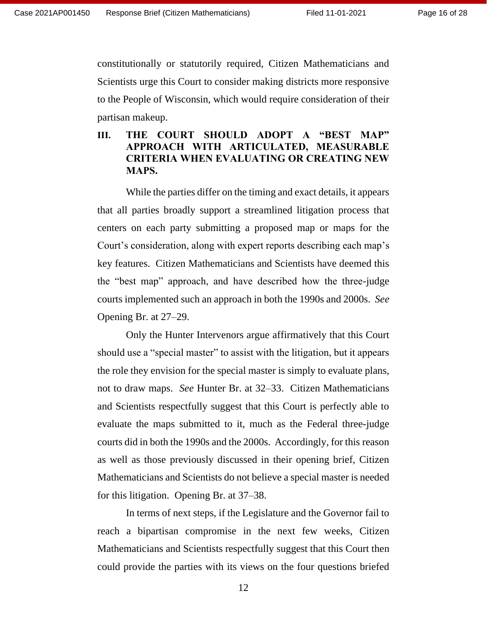constitutionally or statutorily required, Citizen Mathematicians and Scientists urge this Court to consider making districts more responsive to the People of Wisconsin, which would require consideration of their partisan makeup.

### <span id="page-15-0"></span>**III. THE COURT SHOULD ADOPT A "BEST MAP" APPROACH WITH ARTICULATED, MEASURABLE CRITERIA WHEN EVALUATING OR CREATING NEW MAPS.**

While the parties differ on the timing and exact details, it appears that all parties broadly support a streamlined litigation process that centers on each party submitting a proposed map or maps for the Court's consideration, along with expert reports describing each map's key features. Citizen Mathematicians and Scientists have deemed this the "best map" approach, and have described how the three-judge courts implemented such an approach in both the 1990s and 2000s. *See* Opening Br. at 27–29.

Only the Hunter Intervenors argue affirmatively that this Court should use a "special master" to assist with the litigation, but it appears the role they envision for the special master is simply to evaluate plans, not to draw maps. *See* Hunter Br. at 32–33. Citizen Mathematicians and Scientists respectfully suggest that this Court is perfectly able to evaluate the maps submitted to it, much as the Federal three-judge courts did in both the 1990s and the 2000s. Accordingly, for this reason as well as those previously discussed in their opening brief, Citizen Mathematicians and Scientists do not believe a special master is needed for this litigation. Opening Br. at 37–38.

In terms of next steps, if the Legislature and the Governor fail to reach a bipartisan compromise in the next few weeks, Citizen Mathematicians and Scientists respectfully suggest that this Court then could provide the parties with its views on the four questions briefed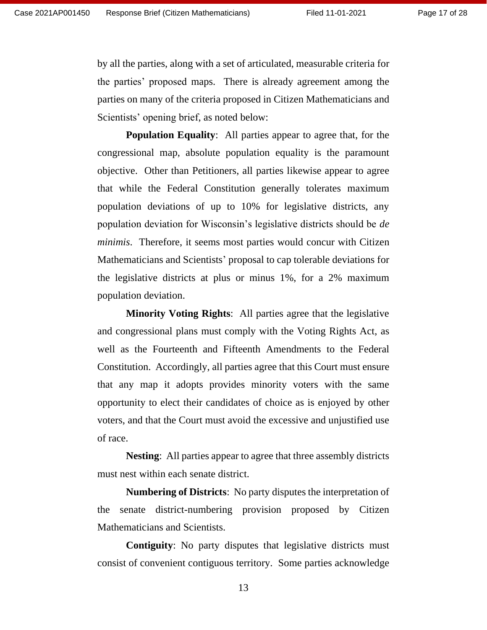by all the parties, along with a set of articulated, measurable criteria for the parties' proposed maps. There is already agreement among the parties on many of the criteria proposed in Citizen Mathematicians and Scientists' opening brief, as noted below:

**Population Equality:** All parties appear to agree that, for the congressional map, absolute population equality is the paramount objective. Other than Petitioners, all parties likewise appear to agree that while the Federal Constitution generally tolerates maximum population deviations of up to 10% for legislative districts, any population deviation for Wisconsin's legislative districts should be *de minimis*. Therefore, it seems most parties would concur with Citizen Mathematicians and Scientists' proposal to cap tolerable deviations for the legislative districts at plus or minus 1%, for a 2% maximum population deviation.

**Minority Voting Rights**: All parties agree that the legislative and congressional plans must comply with the Voting Rights Act, as well as the Fourteenth and Fifteenth Amendments to the Federal Constitution. Accordingly, all parties agree that this Court must ensure that any map it adopts provides minority voters with the same opportunity to elect their candidates of choice as is enjoyed by other voters, and that the Court must avoid the excessive and unjustified use of race.

**Nesting**: All parties appear to agree that three assembly districts must nest within each senate district.

**Numbering of Districts**: No party disputes the interpretation of the senate district-numbering provision proposed by Citizen Mathematicians and Scientists.

**Contiguity**: No party disputes that legislative districts must consist of convenient contiguous territory. Some parties acknowledge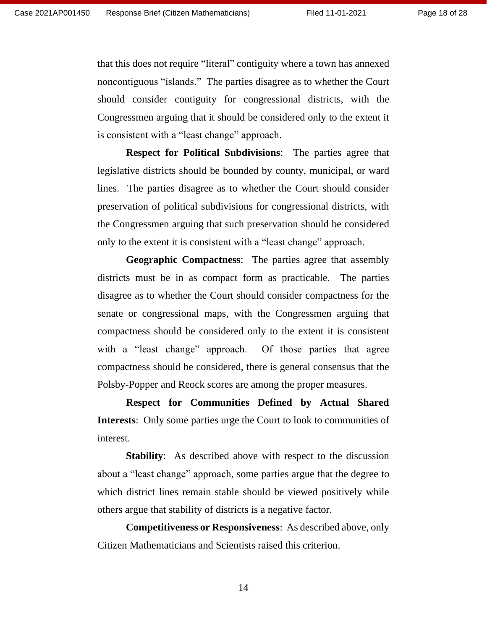that this does not require "literal" contiguity where a town has annexed noncontiguous "islands." The parties disagree as to whether the Court should consider contiguity for congressional districts, with the Congressmen arguing that it should be considered only to the extent it is consistent with a "least change" approach.

**Respect for Political Subdivisions**: The parties agree that legislative districts should be bounded by county, municipal, or ward lines. The parties disagree as to whether the Court should consider preservation of political subdivisions for congressional districts, with the Congressmen arguing that such preservation should be considered only to the extent it is consistent with a "least change" approach.

**Geographic Compactness**: The parties agree that assembly districts must be in as compact form as practicable. The parties disagree as to whether the Court should consider compactness for the senate or congressional maps, with the Congressmen arguing that compactness should be considered only to the extent it is consistent with a "least change" approach. Of those parties that agree compactness should be considered, there is general consensus that the Polsby-Popper and Reock scores are among the proper measures.

**Respect for Communities Defined by Actual Shared Interests**: Only some parties urge the Court to look to communities of interest.

**Stability:** As described above with respect to the discussion about a "least change" approach, some parties argue that the degree to which district lines remain stable should be viewed positively while others argue that stability of districts is a negative factor.

**Competitiveness or Responsiveness**: As described above, only Citizen Mathematicians and Scientists raised this criterion.

14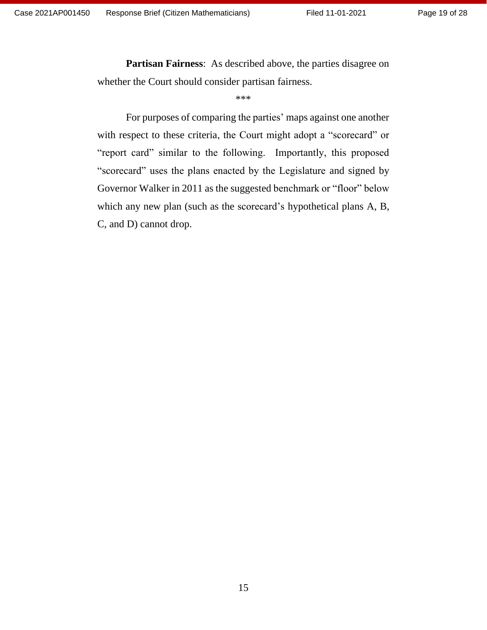**Partisan Fairness**: As described above, the parties disagree on whether the Court should consider partisan fairness.

#### \*\*\*

For purposes of comparing the parties' maps against one another with respect to these criteria, the Court might adopt a "scorecard" or "report card" similar to the following. Importantly, this proposed "scorecard" uses the plans enacted by the Legislature and signed by Governor Walker in 2011 as the suggested benchmark or "floor" below which any new plan (such as the scorecard's hypothetical plans A, B, C, and D) cannot drop.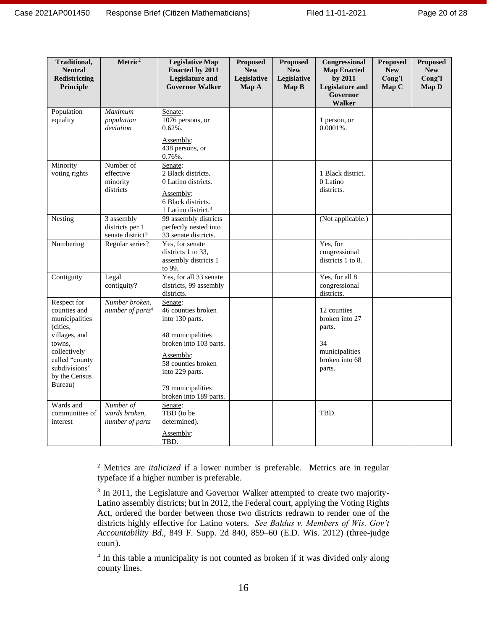| Traditional,<br><b>Neutral</b><br><b>Redistricting</b><br>Principle                                                                                                 | Metric <sup>2</sup>                               | <b>Legislative Map</b><br><b>Enacted by 2011</b><br>Legislature and<br><b>Governor Walker</b>                                                                                                        | Proposed<br><b>New</b><br>Legislative<br>Map A | <b>Proposed</b><br><b>New</b><br>Legislative<br>Map B | Congressional<br><b>Map Enacted</b><br>by 2011<br><b>Legislature and</b><br>Governor<br><b>Walker</b> | <b>Proposed</b><br><b>New</b><br>Cong'l<br>Map C | <b>Proposed</b><br><b>New</b><br>Cong'l<br>Map D |
|---------------------------------------------------------------------------------------------------------------------------------------------------------------------|---------------------------------------------------|------------------------------------------------------------------------------------------------------------------------------------------------------------------------------------------------------|------------------------------------------------|-------------------------------------------------------|-------------------------------------------------------------------------------------------------------|--------------------------------------------------|--------------------------------------------------|
| Population<br>equality                                                                                                                                              | <b>Maximum</b><br>population<br>deviation         | Senate:<br>1076 persons, or<br>$0.62%$ .<br>Assembly:<br>438 persons, or<br>$0.76%$ .                                                                                                                |                                                |                                                       | 1 person, or<br>$0.0001\%$ .                                                                          |                                                  |                                                  |
| Minority<br>voting rights                                                                                                                                           | Number of<br>effective<br>minority<br>districts   | Senate:<br>2 Black districts.<br>0 Latino districts.<br>Assembly:<br>6 Black districts.<br>1 Latino district. <sup>3</sup>                                                                           |                                                |                                                       | 1 Black district.<br>0 Latino<br>districts.                                                           |                                                  |                                                  |
| Nesting                                                                                                                                                             | 3 assembly<br>districts per 1<br>senate district? | 99 assembly districts<br>perfectly nested into<br>33 senate districts.                                                                                                                               |                                                |                                                       | (Not applicable.)                                                                                     |                                                  |                                                  |
| Numbering                                                                                                                                                           | Regular series?                                   | Yes, for senate<br>districts 1 to 33.<br>assembly districts 1<br>to 99.                                                                                                                              |                                                |                                                       | Yes, for<br>congressional<br>districts 1 to 8.                                                        |                                                  |                                                  |
| Contiguity                                                                                                                                                          | Legal<br>contiguity?                              | Yes, for all 33 senate<br>districts, 99 assembly<br>districts.                                                                                                                                       |                                                |                                                       | Yes, for all 8<br>congressional<br>districts.                                                         |                                                  |                                                  |
| Respect for<br>counties and<br>municipalities<br>(cities,<br>villages, and<br>towns,<br>collectively<br>called "county<br>subdivisions"<br>by the Census<br>Bureau) | Number broken,<br>number of parts <sup>4</sup>    | Senate:<br>46 counties broken<br>into 130 parts.<br>48 municipalities<br>broken into 103 parts.<br>Assembly:<br>58 counties broken<br>into 229 parts.<br>79 municipalities<br>broken into 189 parts. |                                                |                                                       | 12 counties<br>broken into 27<br>parts.<br>34<br>municipalities<br>broken into 68<br>parts.           |                                                  |                                                  |
| Wards and<br>communities of<br>interest                                                                                                                             | Number of<br>wards broken,<br>number of parts     | Senate:<br>TBD (to be<br>determined).<br>Assembly:<br>TBD.                                                                                                                                           |                                                |                                                       | TBD.                                                                                                  |                                                  |                                                  |

<sup>2</sup> Metrics are *italicized* if a lower number is preferable. Metrics are in regular typeface if a higher number is preferable.

<sup>&</sup>lt;sup>3</sup> In 2011, the Legislature and Governor Walker attempted to create two majority-Latino assembly districts; but in 2012, the Federal court, applying the Voting Rights Act, ordered the border between those two districts redrawn to render one of the districts highly effective for Latino voters. *See Baldus v. Members of Wis. Gov't Accountability Bd.*, 849 F. Supp. 2d 840, 859–60 (E.D. Wis. 2012) (three-judge court).

<sup>&</sup>lt;sup>4</sup> In this table a municipality is not counted as broken if it was divided only along county lines.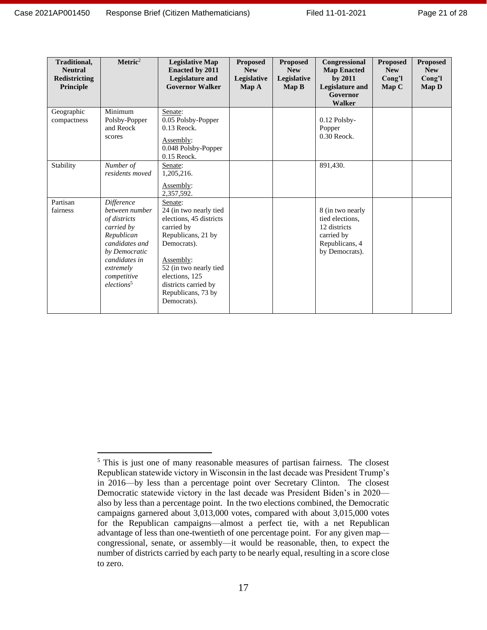| Traditional,<br><b>Neutral</b><br>Redistricting<br>Principle | Metric <sup>2</sup>                                                                                                                                                                | <b>Legislative Map</b><br><b>Enacted by 2011</b><br><b>Legislature and</b><br><b>Governor Walker</b>                                                                                                                                  | <b>Proposed</b><br><b>New</b><br>Legislative<br>Map A | <b>Proposed</b><br><b>New</b><br>Legislative<br>Map B | Congressional<br><b>Map Enacted</b><br>by 2011<br>Legislature and<br>Governor<br><b>Walker</b>        | <b>Proposed</b><br><b>New</b><br>Cong'l<br>Map C | <b>Proposed</b><br><b>New</b><br>Cong'l<br>Map D |
|--------------------------------------------------------------|------------------------------------------------------------------------------------------------------------------------------------------------------------------------------------|---------------------------------------------------------------------------------------------------------------------------------------------------------------------------------------------------------------------------------------|-------------------------------------------------------|-------------------------------------------------------|-------------------------------------------------------------------------------------------------------|--------------------------------------------------|--------------------------------------------------|
| Geographic<br>compactness                                    | Minimum<br>Polsby-Popper<br>and Reock<br>scores                                                                                                                                    | Senate:<br>0.05 Polsby-Popper<br>$0.13$ Reock.<br>Assembly:<br>0.048 Polsby-Popper<br>0.15 Reock.                                                                                                                                     |                                                       |                                                       | $0.12$ Polsby-<br>Popper<br>0.30 Reock.                                                               |                                                  |                                                  |
| Stability                                                    | Number of<br>residents moved                                                                                                                                                       | Senate:<br>1,205,216.<br>Assembly:<br>2,357,592.                                                                                                                                                                                      |                                                       |                                                       | 891,430.                                                                                              |                                                  |                                                  |
| Partisan<br>fairness                                         | Difference<br>between number<br>of districts<br>carried by<br>Republican<br>candidates and<br>by Democratic<br>candidates in<br>extremely<br>competitive<br>elections <sup>5</sup> | Senate:<br>24 (in two nearly tied<br>elections, 45 districts<br>carried by<br>Republicans, 21 by<br>Democrats).<br>Assembly:<br>52 (in two nearly tied<br>elections, 125<br>districts carried by<br>Republicans, 73 by<br>Democrats). |                                                       |                                                       | 8 (in two nearly<br>tied elections,<br>12 districts<br>carried by<br>Republicans, 4<br>by Democrats). |                                                  |                                                  |

<sup>&</sup>lt;sup>5</sup> This is just one of many reasonable measures of partisan fairness. The closest Republican statewide victory in Wisconsin in the last decade was President Trump's in 2016—by less than a percentage point over Secretary Clinton. The closest Democratic statewide victory in the last decade was President Biden's in 2020 also by less than a percentage point. In the two elections combined, the Democratic campaigns garnered about 3,013,000 votes, compared with about 3,015,000 votes for the Republican campaigns—almost a perfect tie, with a net Republican advantage of less than one-twentieth of one percentage point. For any given map congressional, senate, or assembly—it would be reasonable, then, to expect the number of districts carried by each party to be nearly equal, resulting in a score close to zero.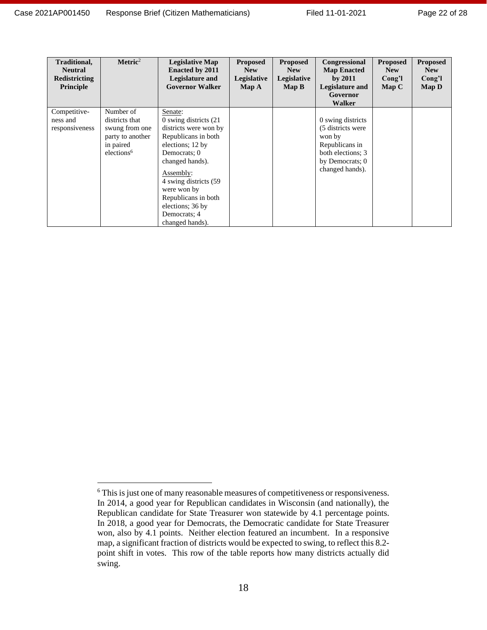| Traditional,<br><b>Neutral</b><br>Redistricting<br>Principle | $Metric2$                                                                                                | <b>Legislative Map</b><br><b>Enacted by 2011</b><br>Legislature and<br><b>Governor Walker</b>                                                                                                                                                                                | <b>Proposed</b><br><b>New</b><br>Legislative<br>Map A | <b>Proposed</b><br><b>New</b><br>Legislative<br>Map B | Congressional<br><b>Map Enacted</b><br>by $2011$<br>Legislature and<br>Governor<br>Walker                                     | <b>Proposed</b><br><b>New</b><br>Cong'l<br>Map C | <b>Proposed</b><br><b>New</b><br>Cong'l<br>Map D |
|--------------------------------------------------------------|----------------------------------------------------------------------------------------------------------|------------------------------------------------------------------------------------------------------------------------------------------------------------------------------------------------------------------------------------------------------------------------------|-------------------------------------------------------|-------------------------------------------------------|-------------------------------------------------------------------------------------------------------------------------------|--------------------------------------------------|--------------------------------------------------|
| Competitive-<br>ness and<br>responsiveness                   | Number of<br>districts that<br>swung from one<br>party to another<br>in paired<br>elections <sup>6</sup> | Senate:<br>0 swing districts (21)<br>districts were won by<br>Republicans in both<br>elections; 12 by<br>Democrats; 0<br>changed hands).<br>Assembly:<br>4 swing districts (59)<br>were won by<br>Republicans in both<br>elections; 36 by<br>Democrats: 4<br>changed hands). |                                                       |                                                       | 0 swing districts<br>(5 districts were<br>won by<br>Republicans in<br>both elections; 3<br>by Democrats; 0<br>changed hands). |                                                  |                                                  |

<sup>&</sup>lt;sup>6</sup> This is just one of many reasonable measures of competitiveness or responsiveness. In 2014, a good year for Republican candidates in Wisconsin (and nationally), the Republican candidate for State Treasurer won statewide by 4.1 percentage points. In 2018, a good year for Democrats, the Democratic candidate for State Treasurer won, also by 4.1 points. Neither election featured an incumbent. In a responsive map, a significant fraction of districts would be expected to swing, to reflect this 8.2 point shift in votes. This row of the table reports how many districts actually did swing.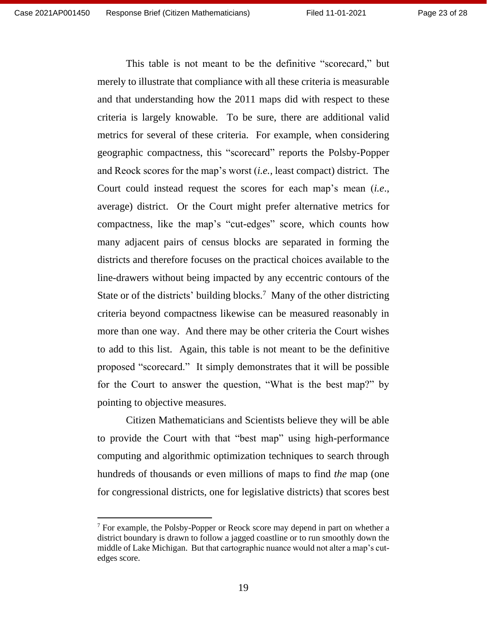This table is not meant to be the definitive "scorecard," but merely to illustrate that compliance with all these criteria is measurable and that understanding how the 2011 maps did with respect to these criteria is largely knowable. To be sure, there are additional valid metrics for several of these criteria. For example, when considering geographic compactness, this "scorecard" reports the Polsby-Popper and Reock scores for the map's worst (*i.e.*, least compact) district. The Court could instead request the scores for each map's mean (*i.e*., average) district. Or the Court might prefer alternative metrics for compactness, like the map's "cut-edges" score, which counts how many adjacent pairs of census blocks are separated in forming the districts and therefore focuses on the practical choices available to the line-drawers without being impacted by any eccentric contours of the State or of the districts' building blocks.<sup>7</sup> Many of the other districting criteria beyond compactness likewise can be measured reasonably in more than one way. And there may be other criteria the Court wishes to add to this list. Again, this table is not meant to be the definitive proposed "scorecard." It simply demonstrates that it will be possible for the Court to answer the question, "What is the best map?" by pointing to objective measures.

Citizen Mathematicians and Scientists believe they will be able to provide the Court with that "best map" using high-performance computing and algorithmic optimization techniques to search through hundreds of thousands or even millions of maps to find *the* map (one for congressional districts, one for legislative districts) that scores best

 $7$  For example, the Polsby-Popper or Reock score may depend in part on whether a district boundary is drawn to follow a jagged coastline or to run smoothly down the middle of Lake Michigan. But that cartographic nuance would not alter a map's cutedges score.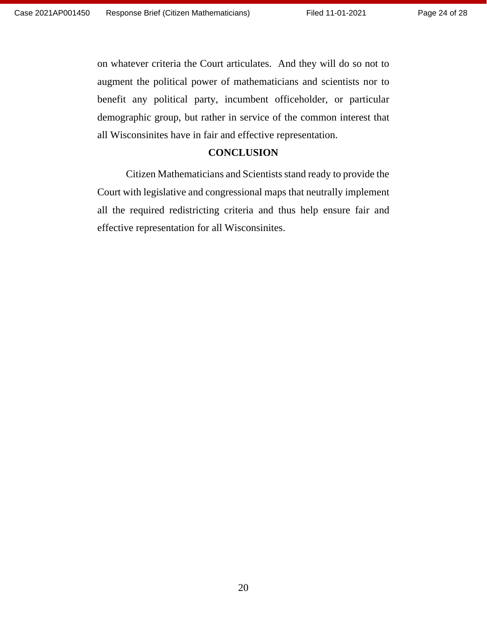on whatever criteria the Court articulates. And they will do so not to augment the political power of mathematicians and scientists nor to benefit any political party, incumbent officeholder, or particular demographic group, but rather in service of the common interest that all Wisconsinites have in fair and effective representation.

### **CONCLUSION**

<span id="page-23-0"></span>Citizen Mathematicians and Scientists stand ready to provide the Court with legislative and congressional maps that neutrally implement all the required redistricting criteria and thus help ensure fair and effective representation for all Wisconsinites.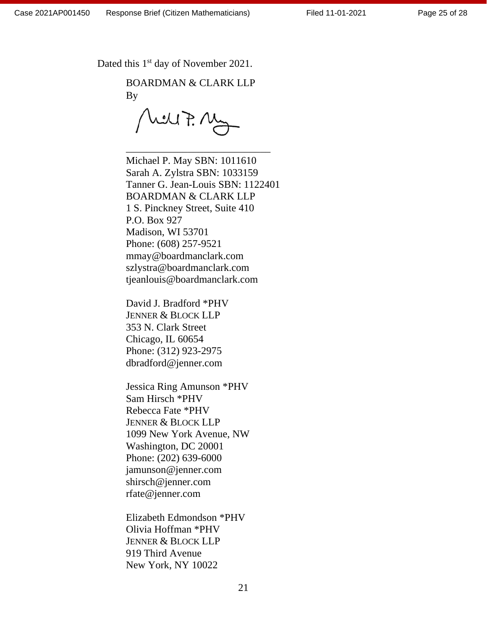Page 25 of 28

Dated this 1<sup>st</sup> day of November 2021.

BOARDMAN & CLARK LLP By

rell F. Ma

\_\_\_\_\_\_\_\_\_\_\_\_\_\_\_\_\_\_\_\_\_\_\_\_\_\_\_\_

Michael P. May SBN: 1011610 Sarah A. Zylstra SBN: 1033159 Tanner G. Jean-Louis SBN: 1122401 BOARDMAN & CLARK LLP 1 S. Pinckney Street, Suite 410 P.O. Box 927 Madison, WI 53701 Phone: (608) 257-9521 mmay@boardmanclark.com szlystra@boardmanclark.com tjeanlouis@boardmanclark.com

David J. Bradford \*PHV JENNER & BLOCK LLP 353 N. Clark Street Chicago, IL 60654 Phone: (312) 923-2975 [dbradford@jenner.com](mailto:dbradford@jenner.com)

Jessica Ring Amunson \*PHV Sam Hirsch \*PHV Rebecca Fate \*PHV JENNER & BLOCK LLP 1099 New York Avenue, NW Washington, DC 20001 Phone: (202) 639-6000 [jamunson@jenner.com](mailto:jamunson@jenner.com) [shirsch@jenner.com](mailto:shirsch@jenner.com) [rfate@jenner.com](mailto:rfate@jenner.com)

Elizabeth Edmondson \*PHV Olivia Hoffman \*PHV JENNER & BLOCK LLP 919 Third Avenue New York, NY 10022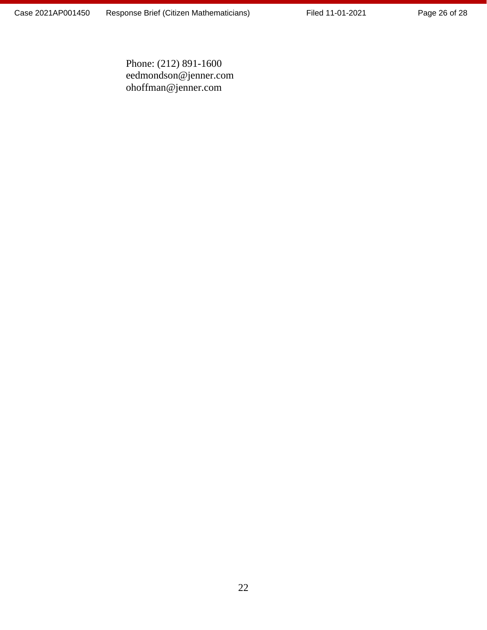Page 26 of 28

Phone: (212) 891-1600 [eedmondson@jenner.com](mailto:eedmondson@jenner.com) [ohoffman@jenner.com](mailto:ohoffman@jenner.com)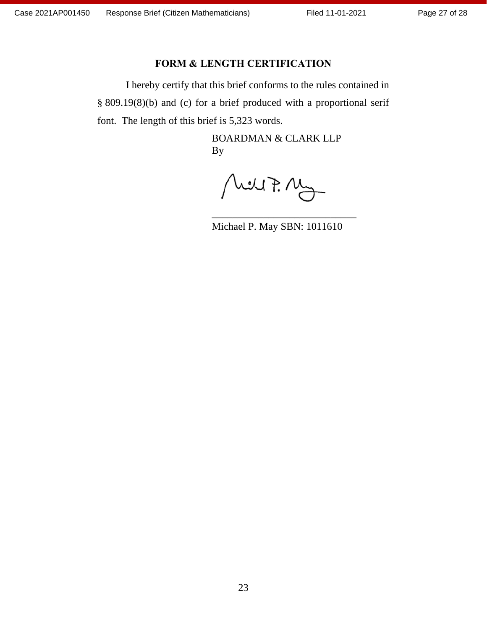### **FORM & LENGTH CERTIFICATION**

I hereby certify that this brief conforms to the rules contained in § 809.19(8)(b) and (c) for a brief produced with a proportional serif font. The length of this brief is 5,323 words.

> BOARDMAN & CLARK LLP By

Mey7. My

Michael P. May SBN: 1011610

\_\_\_\_\_\_\_\_\_\_\_\_\_\_\_\_\_\_\_\_\_\_\_\_\_\_\_\_